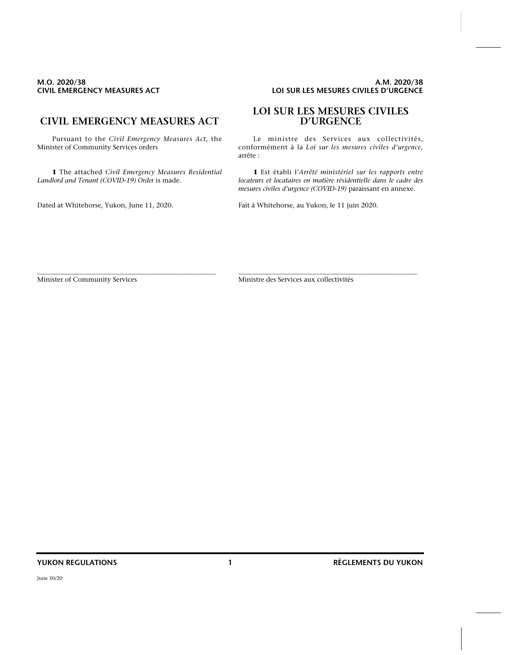#### **A.M. 2020/38 LOI SUR LES MESURES CIVILES D'URGENCE**

## **CIVIL EMERGENCY MEASURES ACT**

Pursuant to the *Civil Emergency Measures Act*, the Minister of Community Services orders

**1** The attached *Civil Emergency Measures Residential Landlord and Tenant (COVID-19) Order* is made.

\_\_\_\_\_\_\_\_\_\_\_\_\_\_\_\_\_\_\_\_\_\_\_\_\_\_\_\_\_\_\_\_\_\_\_\_\_\_\_\_\_\_\_\_\_\_\_\_\_\_\_\_\_\_

Dated at Whitehorse, Yukon, June 11, 2020.

## **LOI SUR LES MESURES CIVILES D'URGENCE**

Le ministre des Services aux collectivités, conformément à la *Loi sur les mesures civiles d'urgence*, arrête :

**1** Est établi l'*Arrêté ministériel sur les rapports entre locateurs et locataires en matière résidentielle dans le cadre des mesures civiles d'urgence (COVID-19)* paraissant en annexe.

\_\_\_\_\_\_\_\_\_\_\_\_\_\_\_\_\_\_\_\_\_\_\_\_\_\_\_\_\_\_\_\_\_\_\_\_\_\_\_\_\_\_\_\_\_\_\_\_\_\_\_\_\_\_

Fait à Whitehorse, au Yukon, le 11 juin 2020.

Minister of Community Services

Ministre des Services aux collectivités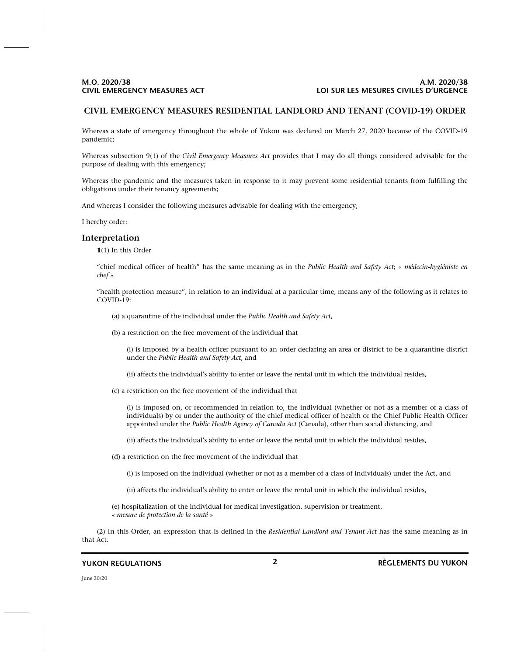#### **CIVIL EMERGENCY MEASURES RESIDENTIAL LANDLORD AND TENANT (COVID-19) ORDER**

Whereas a state of emergency throughout the whole of Yukon was declared on March 27, 2020 because of the COVID-19 pandemic;

Whereas subsection 9(1) of the *Civil Emergency Measures Act* provides that I may do all things considered advisable for the purpose of dealing with this emergency;

Whereas the pandemic and the measures taken in response to it may prevent some residential tenants from fulfilling the obligations under their tenancy agreements;

And whereas I consider the following measures advisable for dealing with the emergency;

I hereby order:

#### **Interpretation**

**1**(1) In this Order

"chief medical officer of health" has the same meaning as in the *Public Health and Safety Act*; « *médecin-hygiéniste en chef* »

"health protection measure", in relation to an individual at a particular time, means any of the following as it relates to COVID-19:

- (a) a quarantine of the individual under the *Public Health and Safety Act*,
- (b) a restriction on the free movement of the individual that

(i) is imposed by a health officer pursuant to an order declaring an area or district to be a quarantine district under the *Public Health and Safety Act*, and

(ii) affects the individual's ability to enter or leave the rental unit in which the individual resides,

(c) a restriction on the free movement of the individual that

(i) is imposed on, or recommended in relation to, the individual (whether or not as a member of a class of individuals) by or under the authority of the chief medical officer of health or the Chief Public Health Officer appointed under the *Public Health Agency of Canada Act* (Canada), other than social distancing, and

(ii) affects the individual's ability to enter or leave the rental unit in which the individual resides,

(d) a restriction on the free movement of the individual that

(i) is imposed on the individual (whether or not as a member of a class of individuals) under the Act, and

(ii) affects the individual's ability to enter or leave the rental unit in which the individual resides,

(e) hospitalization of the individual for medical investigation, supervision or treatment. « *mesure de protection de la santé* »

(2) In this Order, an expression that is defined in the *Residential Landlord and Tenant Act* has the same meaning as in that Act.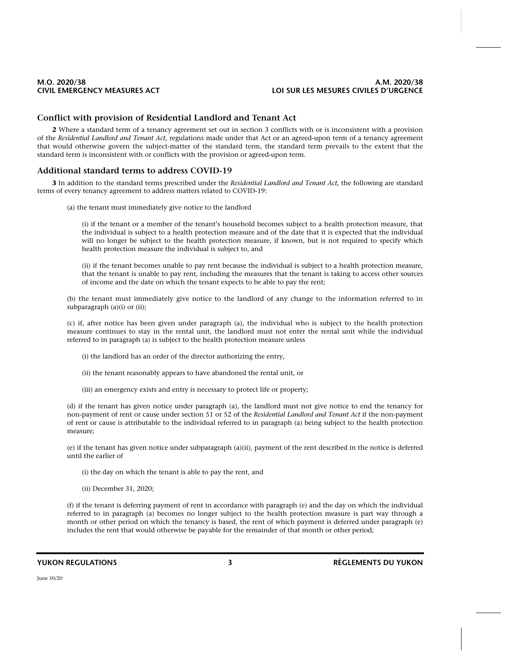#### **A.M. 2020/38 LOI SUR LES MESURES CIVILES D'URGENCE**

### **Conflict with provision of Residential Landlord and Tenant Act**

**2** Where a standard term of a tenancy agreement set out in section 3 conflicts with or is inconsistent with a provision of the *Residential Landlord and Tenant Act*, regulations made under that Act or an agreed-upon term of a tenancy agreement that would otherwise govern the subject-matter of the standard term, the standard term prevails to the extent that the standard term is inconsistent with or conflicts with the provision or agreed-upon term.

#### **Additional standard terms to address COVID-19**

**3** In addition to the standard terms prescribed under the *Residential Landlord and Tenant Act*, the following are standard terms of every tenancy agreement to address matters related to COVID-19:

(a) the tenant must immediately give notice to the landlord

(i) if the tenant or a member of the tenant's household becomes subject to a health protection measure, that the individual is subject to a health protection measure and of the date that it is expected that the individual will no longer be subject to the health protection measure, if known, but is not required to specify which health protection measure the individual is subject to, and

(ii) if the tenant becomes unable to pay rent because the individual is subject to a health protection measure, that the tenant is unable to pay rent, including the measures that the tenant is taking to access other sources of income and the date on which the tenant expects to be able to pay the rent;

(b) the tenant must immediately give notice to the landlord of any change to the information referred to in subparagraph  $(a)(i)$  or  $(ii)$ ;

(c) if, after notice has been given under paragraph (a), the individual who is subject to the health protection measure continues to stay in the rental unit, the landlord must not enter the rental unit while the individual referred to in paragraph (a) is subject to the health protection measure unless

(i) the landlord has an order of the director authorizing the entry,

(ii) the tenant reasonably appears to have abandoned the rental unit, or

(iii) an emergency exists and entry is necessary to protect life or property;

(d) if the tenant has given notice under paragraph (a), the landlord must not give notice to end the tenancy for non-payment of rent or cause under section 51 or 52 of the *Residential Landlord and Tenant Act* if the non-payment of rent or cause is attributable to the individual referred to in paragraph (a) being subject to the health protection measure;

(e) if the tenant has given notice under subparagraph (a)(ii), payment of the rent described in the notice is deferred until the earlier of

(i) the day on which the tenant is able to pay the rent, and

(ii) December 31, 2020;

(f) if the tenant is deferring payment of rent in accordance with paragraph (e) and the day on which the individual referred to in paragraph (a) becomes no longer subject to the health protection measure is part way through a month or other period on which the tenancy is based, the rent of which payment is deferred under paragraph (e) includes the rent that would otherwise be payable for the remainder of that month or other period;

**YUKON REGULATIONS 3 RÈGLEMENTS DU YUKON**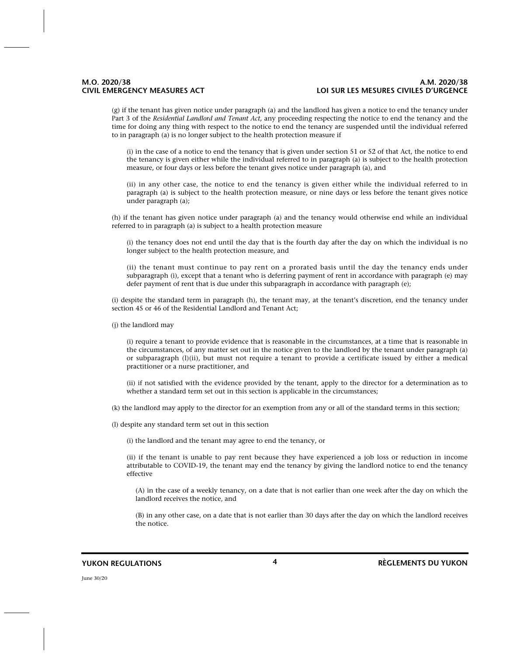#### **A.M. 2020/38 LOI SUR LES MESURES CIVILES D'URGENCE**

(g) if the tenant has given notice under paragraph (a) and the landlord has given a notice to end the tenancy under Part 3 of the *Residential Landlord and Tenant Act*, any proceeding respecting the notice to end the tenancy and the time for doing any thing with respect to the notice to end the tenancy are suspended until the individual referred to in paragraph (a) is no longer subject to the health protection measure if

(i) in the case of a notice to end the tenancy that is given under section 51 or 52 of that Act, the notice to end the tenancy is given either while the individual referred to in paragraph (a) is subject to the health protection measure, or four days or less before the tenant gives notice under paragraph (a), and

(ii) in any other case, the notice to end the tenancy is given either while the individual referred to in paragraph (a) is subject to the health protection measure, or nine days or less before the tenant gives notice under paragraph (a);

(h) if the tenant has given notice under paragraph (a) and the tenancy would otherwise end while an individual referred to in paragraph (a) is subject to a health protection measure

(i) the tenancy does not end until the day that is the fourth day after the day on which the individual is no longer subject to the health protection measure, and

(ii) the tenant must continue to pay rent on a prorated basis until the day the tenancy ends under subparagraph (i), except that a tenant who is deferring payment of rent in accordance with paragraph (e) may defer payment of rent that is due under this subparagraph in accordance with paragraph (e);

(i) despite the standard term in paragraph (h), the tenant may, at the tenant's discretion, end the tenancy under section 45 or 46 of the Residential Landlord and Tenant Act;

(j) the landlord may

(i) require a tenant to provide evidence that is reasonable in the circumstances, at a time that is reasonable in the circumstances, of any matter set out in the notice given to the landlord by the tenant under paragraph (a) or subparagraph (l)(ii), but must not require a tenant to provide a certificate issued by either a medical practitioner or a nurse practitioner, and

(ii) if not satisfied with the evidence provided by the tenant, apply to the director for a determination as to whether a standard term set out in this section is applicable in the circumstances;

(k) the landlord may apply to the director for an exemption from any or all of the standard terms in this section;

(l) despite any standard term set out in this section

(i) the landlord and the tenant may agree to end the tenancy, or

(ii) if the tenant is unable to pay rent because they have experienced a job loss or reduction in income attributable to COVID-19, the tenant may end the tenancy by giving the landlord notice to end the tenancy effective

(A) in the case of a weekly tenancy, on a date that is not earlier than one week after the day on which the landlord receives the notice, and

(B) in any other case, on a date that is not earlier than 30 days after the day on which the landlord receives the notice.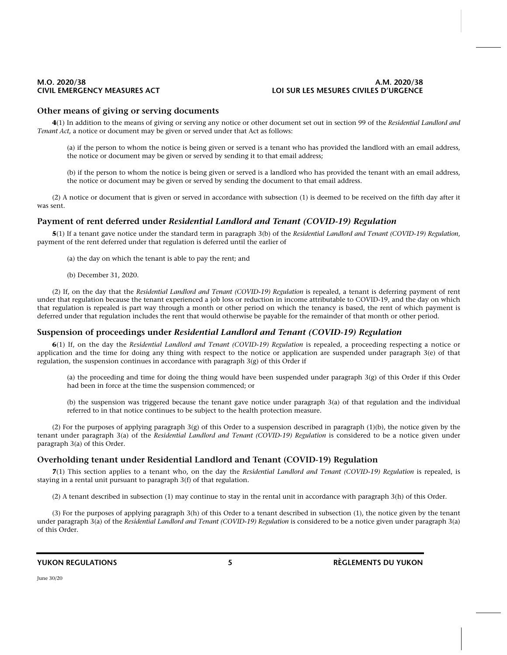#### **A.M. 2020/38 LOI SUR LES MESURES CIVILES D'URGENCE**

#### **Other means of giving or serving documents**

**4**(1) In addition to the means of giving or serving any notice or other document set out in section 99 of the *Residential Landlord and Tenant Act*, a notice or document may be given or served under that Act as follows:

(a) if the person to whom the notice is being given or served is a tenant who has provided the landlord with an email address, the notice or document may be given or served by sending it to that email address;

(b) if the person to whom the notice is being given or served is a landlord who has provided the tenant with an email address, the notice or document may be given or served by sending the document to that email address.

(2) A notice or document that is given or served in accordance with subsection (1) is deemed to be received on the fifth day after it was sent.

### **Payment of rent deferred under** *Residential Landlord and Tenant (COVID-19) Regulation*

**5**(1) If a tenant gave notice under the standard term in paragraph 3(b) of the *Residential Landlord and Tenant (COVID-19) Regulation*, payment of the rent deferred under that regulation is deferred until the earlier of

(a) the day on which the tenant is able to pay the rent; and

(b) December 31, 2020.

(2) If, on the day that the *Residential Landlord and Tenant (COVID-19) Regulation* is repealed, a tenant is deferring payment of rent under that regulation because the tenant experienced a job loss or reduction in income attributable to COVID-19, and the day on which that regulation is repealed is part way through a month or other period on which the tenancy is based, the rent of which payment is deferred under that regulation includes the rent that would otherwise be payable for the remainder of that month or other period.

### **Suspension of proceedings under** *Residential Landlord and Tenant (COVID-19) Regulation*

**6**(1) If, on the day the *Residential Landlord and Tenant (COVID-19) Regulation* is repealed, a proceeding respecting a notice or application and the time for doing any thing with respect to the notice or application are suspended under paragraph 3(e) of that regulation, the suspension continues in accordance with paragraph 3(g) of this Order if

(a) the proceeding and time for doing the thing would have been suspended under paragraph  $3(g)$  of this Order if this Order had been in force at the time the suspension commenced; or

(b) the suspension was triggered because the tenant gave notice under paragraph 3(a) of that regulation and the individual referred to in that notice continues to be subject to the health protection measure.

(2) For the purposes of applying paragraph 3(g) of this Order to a suspension described in paragraph (1)(b), the notice given by the tenant under paragraph 3(a) of the *Residential Landlord and Tenant (COVID-19) Regulation* is considered to be a notice given under paragraph 3(a) of this Order.

### **Overholding tenant under Residential Landlord and Tenant (COVID-19) Regulation**

**7**(1) This section applies to a tenant who, on the day the *Residential Landlord and Tenant (COVID-19) Regulation* is repealed, is staying in a rental unit pursuant to paragraph 3(f) of that regulation.

(2) A tenant described in subsection (1) may continue to stay in the rental unit in accordance with paragraph 3(h) of this Order.

(3) For the purposes of applying paragraph 3(h) of this Order to a tenant described in subsection (1), the notice given by the tenant under paragraph 3(a) of the *Residential Landlord and Tenant (COVID-19) Regulation* is considered to be a notice given under paragraph 3(a) of this Order.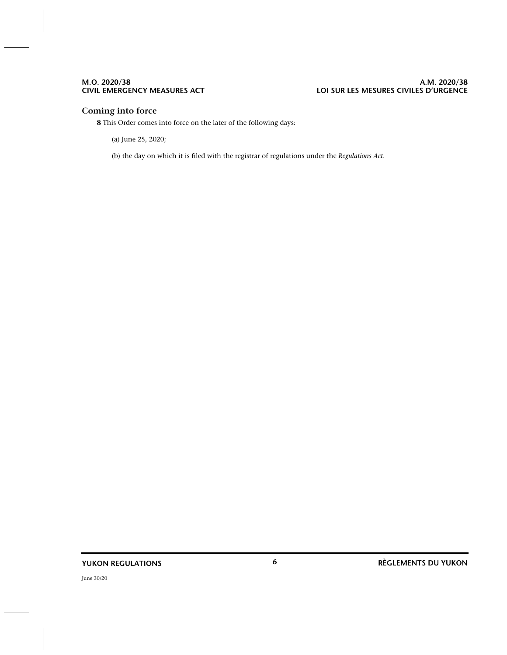#### **A.M. 2020/38 LOI SUR LES MESURES CIVILES D'URGENCE**

## **Coming into force**

**8** This Order comes into force on the later of the following days:

(a) June 25, 2020;

(b) the day on which it is filed with the registrar of regulations under the *Regulations Act*.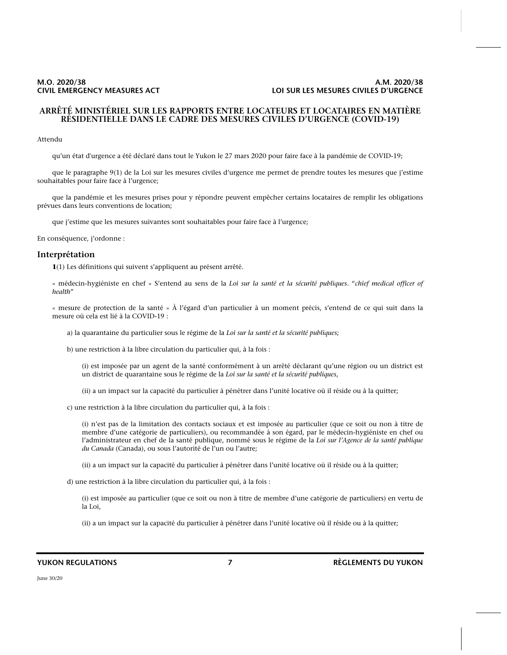### **A.M. 2020/38 LOI SUR LES MESURES CIVILES D'URGENCE**

### **ARRÊTÉ MINISTÉRIEL SUR LES RAPPORTS ENTRE LOCATEURS ET LOCATAIRES EN MATIÈRE RÉSIDENTIELLE DANS LE CADRE DES MESURES CIVILES D'URGENCE (COVID-19)**

#### Attendu

qu'un état d'urgence a été déclaré dans tout le Yukon le 27 mars 2020 pour faire face à la pandémie de COVID-19;

que le paragraphe 9(1) de la Loi sur les mesures civiles d'urgence me permet de prendre toutes les mesures que j'estime souhaitables pour faire face à l'urgence;

que la pandémie et les mesures prises pour y répondre peuvent empêcher certains locataires de remplir les obligations prévues dans leurs conventions de location;

que j'estime que les mesures suivantes sont souhaitables pour faire face à l'urgence;

En conséquence, j'ordonne :

#### **Interprétation**

**1**(1) Les définitions qui suivent s'appliquent au présent arrêté.

« médecin-hygiéniste en chef » S'entend au sens de la *Loi sur la santé et la sécurité publiques*. "*chief medical officer of health*"

« mesure de protection de la santé » À l'égard d'un particulier à un moment précis, s'entend de ce qui suit dans la mesure où cela est lié à la COVID-19 :

a) la quarantaine du particulier sous le régime de la *Loi sur la santé et la sécurité publiques*;

b) une restriction à la libre circulation du particulier qui, à la fois :

(i) est imposée par un agent de la santé conformément à un arrêté déclarant qu'une région ou un district est un district de quarantaine sous le régime de la *Loi sur la santé et la sécurité publiques*,

(ii) a un impact sur la capacité du particulier à pénétrer dans l'unité locative où il réside ou à la quitter;

c) une restriction à la libre circulation du particulier qui, à la fois :

(i) n'est pas de la limitation des contacts sociaux et est imposée au particulier (que ce soit ou non à titre de membre d'une catégorie de particuliers), ou recommandée à son égard, par le médecin-hygiéniste en chef ou l'administrateur en chef de la santé publique, nommé sous le régime de la *Loi sur l'Agence de la santé publique du Canada* (Canada), ou sous l'autorité de l'un ou l'autre;

(ii) a un impact sur la capacité du particulier à pénétrer dans l'unité locative où il réside ou à la quitter;

d) une restriction à la libre circulation du particulier qui, à la fois :

(i) est imposée au particulier (que ce soit ou non à titre de membre d'une catégorie de particuliers) en vertu de la Loi,

(ii) a un impact sur la capacité du particulier à pénétrer dans l'unité locative où il réside ou à la quitter;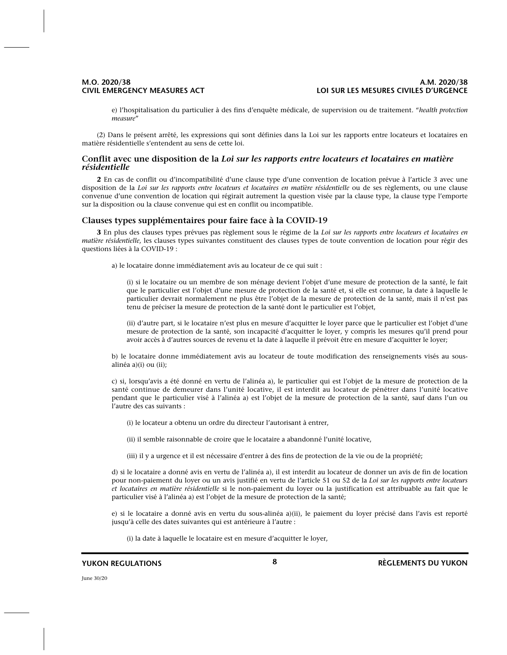#### **A.M. 2020/38 LOI SUR LES MESURES CIVILES D'URGENCE**

e) l'hospitalisation du particulier à des fins d'enquête médicale, de supervision ou de traitement. "*health protection measure*"

(2) Dans le présent arrêté, les expressions qui sont définies dans la Loi sur les rapports entre locateurs et locataires en matière résidentielle s'entendent au sens de cette loi.

# **Conflit avec une disposition de la** *Loi sur les rapports entre locateurs et locataires en matière résidentielle*

**2** En cas de conflit ou d'incompatibilité d'une clause type d'une convention de location prévue à l'article 3 avec une disposition de la *Loi sur les rapports entre locateurs et locataires en matière résidentielle* ou de ses règlements, ou une clause convenue d'une convention de location qui régirait autrement la question visée par la clause type, la clause type l'emporte sur la disposition ou la clause convenue qui est en conflit ou incompatible.

#### **Clauses types supplémentaires pour faire face à la COVID-19**

**3** En plus des clauses types prévues pas règlement sous le régime de la *Loi sur les rapports entre locateurs et locataires en matière résidentielle*, les clauses types suivantes constituent des clauses types de toute convention de location pour régir des questions liées à la COVID-19 :

a) le locataire donne immédiatement avis au locateur de ce qui suit :

(i) si le locataire ou un membre de son ménage devient l'objet d'une mesure de protection de la santé, le fait que le particulier est l'objet d'une mesure de protection de la santé et, si elle est connue, la date à laquelle le particulier devrait normalement ne plus être l'objet de la mesure de protection de la santé, mais il n'est pas tenu de préciser la mesure de protection de la santé dont le particulier est l'objet,

(ii) d'autre part, si le locataire n'est plus en mesure d'acquitter le loyer parce que le particulier est l'objet d'une mesure de protection de la santé, son incapacité d'acquitter le loyer, y compris les mesures qu'il prend pour avoir accès à d'autres sources de revenu et la date à laquelle il prévoit être en mesure d'acquitter le loyer;

b) le locataire donne immédiatement avis au locateur de toute modification des renseignements visés au sousalinéa a)(i) ou (ii);

c) si, lorsqu'avis a été donné en vertu de l'alinéa a), le particulier qui est l'objet de la mesure de protection de la santé continue de demeurer dans l'unité locative, il est interdit au locateur de pénétrer dans l'unité locative pendant que le particulier visé à l'alinéa a) est l'objet de la mesure de protection de la santé, sauf dans l'un ou l'autre des cas suivants :

(i) le locateur a obtenu un ordre du directeur l'autorisant à entrer,

- (ii) il semble raisonnable de croire que le locataire a abandonné l'unité locative,
- (iii) il y a urgence et il est nécessaire d'entrer à des fins de protection de la vie ou de la propriété;

d) si le locataire a donné avis en vertu de l'alinéa a), il est interdit au locateur de donner un avis de fin de location pour non-paiement du loyer ou un avis justifié en vertu de l'article 51 ou 52 de la *Loi sur les rapports entre locateurs et locataires en matière résidentielle* si le non-paiement du loyer ou la justification est attribuable au fait que le particulier visé à l'alinéa a) est l'objet de la mesure de protection de la santé;

e) si le locataire a donné avis en vertu du sous-alinéa a)(ii), le paiement du loyer précisé dans l'avis est reporté jusqu'à celle des dates suivantes qui est antérieure à l'autre :

(i) la date à laquelle le locataire est en mesure d'acquitter le loyer,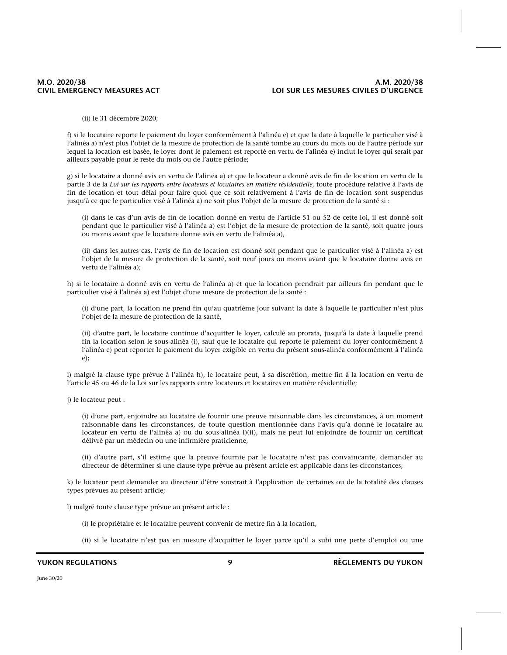#### **A.M. 2020/38 LOI SUR LES MESURES CIVILES D'URGENCE**

(ii) le 31 décembre 2020;

f) si le locataire reporte le paiement du loyer conformément à l'alinéa e) et que la date à laquelle le particulier visé à l'alinéa a) n'est plus l'objet de la mesure de protection de la santé tombe au cours du mois ou de l'autre période sur lequel la location est basée, le loyer dont le paiement est reporté en vertu de l'alinéa e) inclut le loyer qui serait par ailleurs payable pour le reste du mois ou de l'autre période;

g) si le locataire a donné avis en vertu de l'alinéa a) et que le locateur a donné avis de fin de location en vertu de la partie 3 de la *Loi sur les rapports entre locateurs et locataires en matière résidentielle*, toute procédure relative à l'avis de fin de location et tout délai pour faire quoi que ce soit relativement à l'avis de fin de location sont suspendus jusqu'à ce que le particulier visé à l'alinéa a) ne soit plus l'objet de la mesure de protection de la santé si :

(i) dans le cas d'un avis de fin de location donné en vertu de l'article 51 ou 52 de cette loi, il est donné soit pendant que le particulier visé à l'alinéa a) est l'objet de la mesure de protection de la santé, soit quatre jours ou moins avant que le locataire donne avis en vertu de l'alinéa a),

(ii) dans les autres cas, l'avis de fin de location est donné soit pendant que le particulier visé à l'alinéa a) est l'objet de la mesure de protection de la santé, soit neuf jours ou moins avant que le locataire donne avis en vertu de l'alinéa a);

h) si le locataire a donné avis en vertu de l'alinéa a) et que la location prendrait par ailleurs fin pendant que le particulier visé à l'alinéa a) est l'objet d'une mesure de protection de la santé :

(i) d'une part, la location ne prend fin qu'au quatrième jour suivant la date à laquelle le particulier n'est plus l'objet de la mesure de protection de la santé,

(ii) d'autre part, le locataire continue d'acquitter le loyer, calculé au prorata, jusqu'à la date à laquelle prend fin la location selon le sous-alinéa (i), sauf que le locataire qui reporte le paiement du loyer conformément à l'alinéa e) peut reporter le paiement du loyer exigible en vertu du présent sous-alinéa conformément à l'alinéa e);

i) malgré la clause type prévue à l'alinéa h), le locataire peut, à sa discrétion, mettre fin à la location en vertu de l'article 45 ou 46 de la Loi sur les rapports entre locateurs et locataires en matière résidentielle;

j) le locateur peut :

(i) d'une part, enjoindre au locataire de fournir une preuve raisonnable dans les circonstances, à un moment raisonnable dans les circonstances, de toute question mentionnée dans l'avis qu'a donné le locataire au locateur en vertu de l'alinéa a) ou du sous-alinéa l)(ii), mais ne peut lui enjoindre de fournir un certificat délivré par un médecin ou une infirmière praticienne,

(ii) d'autre part, s'il estime que la preuve fournie par le locataire n'est pas convaincante, demander au directeur de déterminer si une clause type prévue au présent article est applicable dans les circonstances;

k) le locateur peut demander au directeur d'être soustrait à l'application de certaines ou de la totalité des clauses types prévues au présent article;

l) malgré toute clause type prévue au présent article :

(i) le propriétaire et le locataire peuvent convenir de mettre fin à la location,

(ii) si le locataire n'est pas en mesure d'acquitter le loyer parce qu'il a subi une perte d'emploi ou une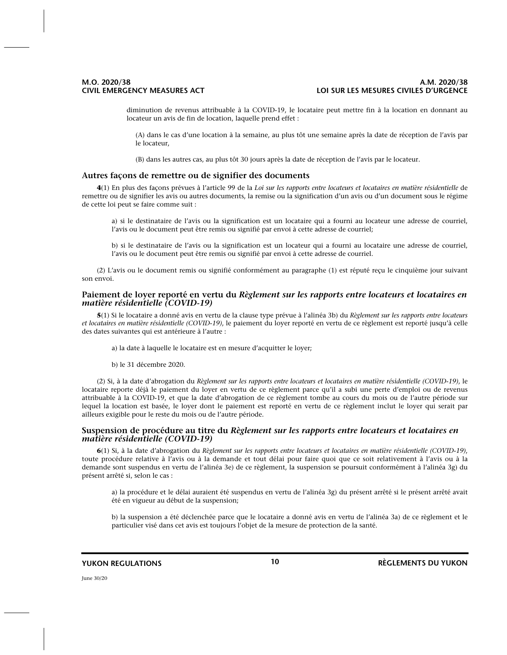#### **A.M. 2020/38 LOI SUR LES MESURES CIVILES D'URGENCE**

diminution de revenus attribuable à la COVID-19, le locataire peut mettre fin à la location en donnant au locateur un avis de fin de location, laquelle prend effet :

(A) dans le cas d'une location à la semaine, au plus tôt une semaine après la date de réception de l'avis par le locateur,

(B) dans les autres cas, au plus tôt 30 jours après la date de réception de l'avis par le locateur.

#### **Autres façons de remettre ou de signifier des documents**

**4**(1) En plus des façons prévues à l'article 99 de la *Loi sur les rapports entre locateurs et locataires en matière résidentielle* de remettre ou de signifier les avis ou autres documents, la remise ou la signification d'un avis ou d'un document sous le régime de cette loi peut se faire comme suit :

a) si le destinataire de l'avis ou la signification est un locataire qui a fourni au locateur une adresse de courriel, l'avis ou le document peut être remis ou signifié par envoi à cette adresse de courriel;

b) si le destinataire de l'avis ou la signification est un locateur qui a fourni au locataire une adresse de courriel, l'avis ou le document peut être remis ou signifié par envoi à cette adresse de courriel.

(2) L'avis ou le document remis ou signifié conformément au paragraphe (1) est réputé reçu le cinquième jour suivant son envoi.

#### **Paiement de loyer reporté en vertu du** *Règlement sur les rapports entre locateurs et locataires en matière résidentielle (COVID-19)*

**5**(1) Si le locataire a donné avis en vertu de la clause type prévue à l'alinéa 3b) du *Règlement sur les rapports entre locateurs et locataires en matière résidentielle (COVID-19)*, le paiement du loyer reporté en vertu de ce règlement est reporté jusqu'à celle des dates suivantes qui est antérieure à l'autre :

a) la date à laquelle le locataire est en mesure d'acquitter le loyer;

b) le 31 décembre 2020.

(2) Si, à la date d'abrogation du *Règlement sur les rapports entre locateurs et locataires en matière résidentielle (COVID-19)*, le locataire reporte déjà le paiement du loyer en vertu de ce règlement parce qu'il a subi une perte d'emploi ou de revenus attribuable à la COVID-19, et que la date d'abrogation de ce règlement tombe au cours du mois ou de l'autre période sur lequel la location est basée, le loyer dont le paiement est reporté en vertu de ce règlement inclut le loyer qui serait par ailleurs exigible pour le reste du mois ou de l'autre période.

# **Suspension de procédure au titre du** *Règlement sur les rapports entre locateurs et locataires en matière résidentielle (COVID-19)*

**6**(1) Si, à la date d'abrogation du *Règlement sur les rapports entre locateurs et locataires en matière résidentielle (COVID-19)*, toute procédure relative à l'avis ou à la demande et tout délai pour faire quoi que ce soit relativement à l'avis ou à la demande sont suspendus en vertu de l'alinéa 3e) de ce règlement, la suspension se poursuit conformément à l'alinéa 3g) du présent arrêté si, selon le cas :

a) la procédure et le délai auraient été suspendus en vertu de l'alinéa 3g) du présent arrêté si le présent arrêté avait été en vigueur au début de la suspension;

b) la suspension a été déclenchée parce que le locataire a donné avis en vertu de l'alinéa 3a) de ce règlement et le particulier visé dans cet avis est toujours l'objet de la mesure de protection de la santé.